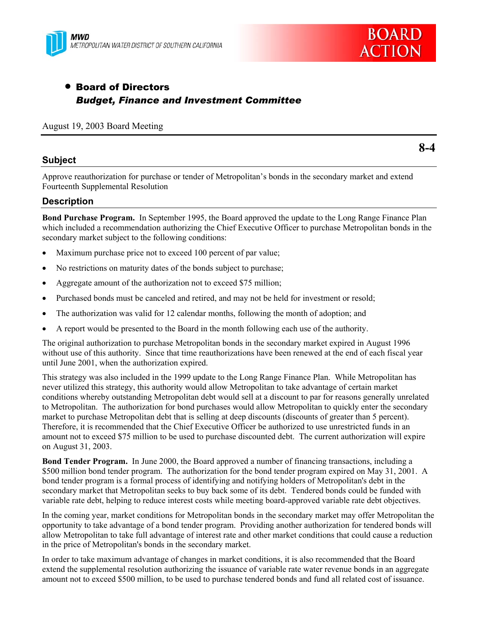



# • Board of Directors *Budget, Finance and Investment Committee*

August 19, 2003 Board Meeting

## **Subject**

**8-4** 

Approve reauthorization for purchase or tender of Metropolitan's bonds in the secondary market and extend Fourteenth Supplemental Resolution

## **Description**

**Bond Purchase Program.** In September 1995, the Board approved the update to the Long Range Finance Plan which included a recommendation authorizing the Chief Executive Officer to purchase Metropolitan bonds in the secondary market subject to the following conditions:

- Maximum purchase price not to exceed 100 percent of par value;
- No restrictions on maturity dates of the bonds subject to purchase;
- Aggregate amount of the authorization not to exceed \$75 million;
- Purchased bonds must be canceled and retired, and may not be held for investment or resold;
- The authorization was valid for 12 calendar months, following the month of adoption; and
- A report would be presented to the Board in the month following each use of the authority.

The original authorization to purchase Metropolitan bonds in the secondary market expired in August 1996 without use of this authority. Since that time reauthorizations have been renewed at the end of each fiscal year until June 2001, when the authorization expired.

This strategy was also included in the 1999 update to the Long Range Finance Plan. While Metropolitan has never utilized this strategy, this authority would allow Metropolitan to take advantage of certain market conditions whereby outstanding Metropolitan debt would sell at a discount to par for reasons generally unrelated to Metropolitan. The authorization for bond purchases would allow Metropolitan to quickly enter the secondary market to purchase Metropolitan debt that is selling at deep discounts (discounts of greater than 5 percent). Therefore, it is recommended that the Chief Executive Officer be authorized to use unrestricted funds in an amount not to exceed \$75 million to be used to purchase discounted debt. The current authorization will expire on August 31, 2003.

**Bond Tender Program.** In June 2000, the Board approved a number of financing transactions, including a \$500 million bond tender program. The authorization for the bond tender program expired on May 31, 2001. A bond tender program is a formal process of identifying and notifying holders of Metropolitan's debt in the secondary market that Metropolitan seeks to buy back some of its debt. Tendered bonds could be funded with variable rate debt, helping to reduce interest costs while meeting board-approved variable rate debt objectives.

In the coming year, market conditions for Metropolitan bonds in the secondary market may offer Metropolitan the opportunity to take advantage of a bond tender program. Providing another authorization for tendered bonds will allow Metropolitan to take full advantage of interest rate and other market conditions that could cause a reduction in the price of Metropolitan's bonds in the secondary market.

In order to take maximum advantage of changes in market conditions, it is also recommended that the Board extend the supplemental resolution authorizing the issuance of variable rate water revenue bonds in an aggregate amount not to exceed \$500 million, to be used to purchase tendered bonds and fund all related cost of issuance.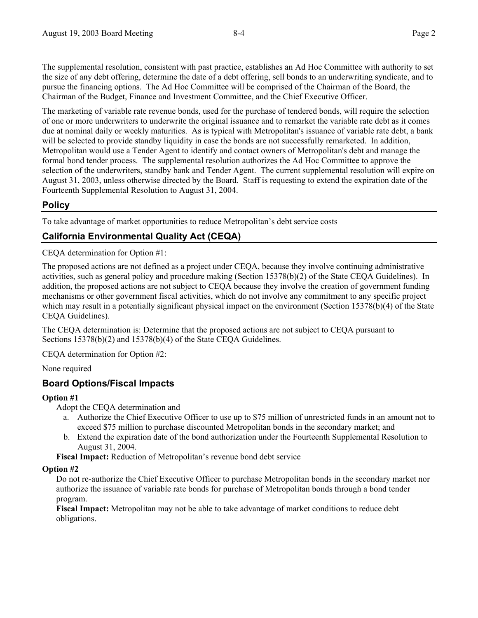The supplemental resolution, consistent with past practice, establishes an Ad Hoc Committee with authority to set the size of any debt offering, determine the date of a debt offering, sell bonds to an underwriting syndicate, and to pursue the financing options. The Ad Hoc Committee will be comprised of the Chairman of the Board, the Chairman of the Budget, Finance and Investment Committee, and the Chief Executive Officer.

The marketing of variable rate revenue bonds, used for the purchase of tendered bonds, will require the selection of one or more underwriters to underwrite the original issuance and to remarket the variable rate debt as it comes due at nominal daily or weekly maturities. As is typical with Metropolitan's issuance of variable rate debt, a bank will be selected to provide standby liquidity in case the bonds are not successfully remarketed. In addition, Metropolitan would use a Tender Agent to identify and contact owners of Metropolitan's debt and manage the formal bond tender process. The supplemental resolution authorizes the Ad Hoc Committee to approve the selection of the underwriters, standby bank and Tender Agent. The current supplemental resolution will expire on August 31, 2003, unless otherwise directed by the Board. Staff is requesting to extend the expiration date of the Fourteenth Supplemental Resolution to August 31, 2004.

## **Policy**

To take advantage of market opportunities to reduce Metropolitan's debt service costs

## **California Environmental Quality Act (CEQA)**

CEQA determination for Option #1:

The proposed actions are not defined as a project under CEQA, because they involve continuing administrative activities, such as general policy and procedure making (Section 15378(b)(2) of the State CEQA Guidelines). In addition, the proposed actions are not subject to CEQA because they involve the creation of government funding mechanisms or other government fiscal activities, which do not involve any commitment to any specific project which may result in a potentially significant physical impact on the environment (Section 15378(b)(4) of the State CEQA Guidelines).

The CEQA determination is: Determine that the proposed actions are not subject to CEQA pursuant to Sections 15378(b)(2) and 15378(b)(4) of the State CEQA Guidelines.

CEQA determination for Option #2:

None required

### **Board Options/Fiscal Impacts**

### **Option #1**

Adopt the CEQA determination and

- a. Authorize the Chief Executive Officer to use up to \$75 million of unrestricted funds in an amount not to exceed \$75 million to purchase discounted Metropolitan bonds in the secondary market; and
- b. Extend the expiration date of the bond authorization under the Fourteenth Supplemental Resolution to August 31, 2004.

**Fiscal Impact:** Reduction of Metropolitan's revenue bond debt service

#### **Option #2**

Do not re-authorize the Chief Executive Officer to purchase Metropolitan bonds in the secondary market nor authorize the issuance of variable rate bonds for purchase of Metropolitan bonds through a bond tender program.

**Fiscal Impact:** Metropolitan may not be able to take advantage of market conditions to reduce debt obligations.